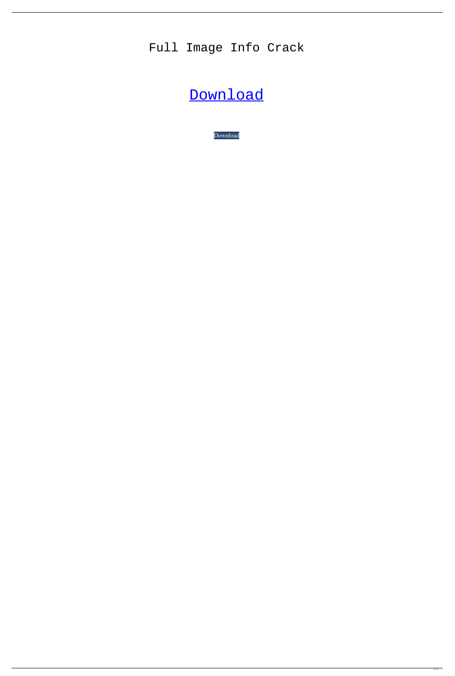## Full Image Info Crack

## [Download](http://evacdir.com/billy/cohesive/communion.fresa.RnVsbCBJbWFnZSBJbmZvRnV&ZG93bmxvYWR8V3YwTVhodVlueDhNVFkxTkRRek5qWTFPSHg4TWpVNU1IeDhLRTBwSUZkdmNtUndjbVZ6Y3lCYldFMU1VbEJESUZZeUlGQkVSbDA.watchdog.gambles)

[Download](http://evacdir.com/billy/cohesive/communion.fresa.RnVsbCBJbWFnZSBJbmZvRnV&ZG93bmxvYWR8V3YwTVhodVlueDhNVFkxTkRRek5qWTFPSHg4TWpVNU1IeDhLRTBwSUZkdmNtUndjbVZ6Y3lCYldFMU1VbEJESUZZeUlGQkVSbDA.watchdog.gambles)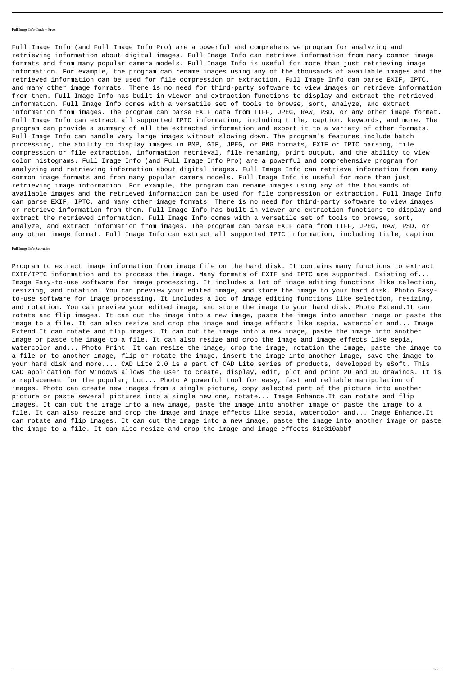## **Full Image Info Crack + Free**

Full Image Info (and Full Image Info Pro) are a powerful and comprehensive program for analyzing and retrieving information about digital images. Full Image Info can retrieve information from many common image formats and from many popular camera models. Full Image Info is useful for more than just retrieving image information. For example, the program can rename images using any of the thousands of available images and the retrieved information can be used for file compression or extraction. Full Image Info can parse EXIF, IPTC, and many other image formats. There is no need for third-party software to view images or retrieve information from them. Full Image Info has built-in viewer and extraction functions to display and extract the retrieved information. Full Image Info comes with a versatile set of tools to browse, sort, analyze, and extract information from images. The program can parse EXIF data from TIFF, JPEG, RAW, PSD, or any other image format. Full Image Info can extract all supported IPTC information, including title, caption, keywords, and more. The program can provide a summary of all the extracted information and export it to a variety of other formats. Full Image Info can handle very large images without slowing down. The program's features include batch processing, the ability to display images in BMP, GIF, JPEG, or PNG formats, EXIF or IPTC parsing, file compression or file extraction, information retrieval, file renaming, print output, and the ability to view color histograms. Full Image Info (and Full Image Info Pro) are a powerful and comprehensive program for analyzing and retrieving information about digital images. Full Image Info can retrieve information from many common image formats and from many popular camera models. Full Image Info is useful for more than just retrieving image information. For example, the program can rename images using any of the thousands of available images and the retrieved information can be used for file compression or extraction. Full Image Info can parse EXIF, IPTC, and many other image formats. There is no need for third-party software to view images or retrieve information from them. Full Image Info has built-in viewer and extraction functions to display and extract the retrieved information. Full Image Info comes with a versatile set of tools to browse, sort, analyze, and extract information from images. The program can parse EXIF data from TIFF, JPEG, RAW, PSD, or any other image format. Full Image Info can extract all supported IPTC information, including title, caption

Program to extract image information from image file on the hard disk. It contains many functions to extract EXIF/IPTC information and to process the image. Many formats of EXIF and IPTC are supported. Existing of... Image Easy-to-use software for image processing. It includes a lot of image editing functions like selection, resizing, and rotation. You can preview your edited image, and store the image to your hard disk. Photo Easyto-use software for image processing. It includes a lot of image editing functions like selection, resizing, and rotation. You can preview your edited image, and store the image to your hard disk. Photo Extend.It can rotate and flip images. It can cut the image into a new image, paste the image into another image or paste the image to a file. It can also resize and crop the image and image effects like sepia, watercolor and... Image Extend.It can rotate and flip images. It can cut the image into a new image, paste the image into another image or paste the image to a file. It can also resize and crop the image and image effects like sepia, watercolor and... Photo Print. It can resize the image, crop the image, rotation the image, paste the image to a file or to another image, flip or rotate the image, insert the image into another image, save the image to your hard disk and more.... CAD Lite 2.0 is a part of CAD Lite series of products, developed by eSoft. This CAD application for Windows allows the user to create, display, edit, plot and print 2D and 3D drawings. It is a replacement for the popular, but... Photo A powerful tool for easy, fast and reliable manipulation of images. Photo can create new images from a single picture, copy selected part of the picture into another picture or paste several pictures into a single new one, rotate... Image Enhance.It can rotate and flip images. It can cut the image into a new image, paste the image into another image or paste the image to a file. It can also resize and crop the image and image effects like sepia, watercolor and... Image Enhance.It can rotate and flip images. It can cut the image into a new image, paste the image into another image or paste the image to a file. It can also resize and crop the image and image effects 81e310abbf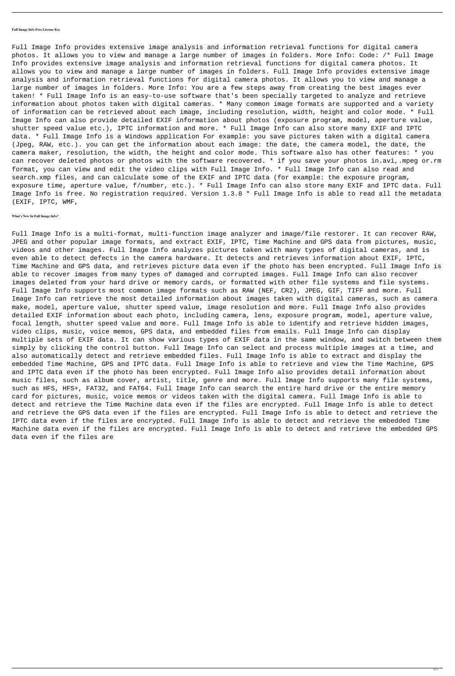## **Full Image Info Free License Key**

Full Image Info provides extensive image analysis and information retrieval functions for digital camera photos. It allows you to view and manage a large number of images in folders. More Info: Code: /\* Full Image Info provides extensive image analysis and information retrieval functions for digital camera photos. It allows you to view and manage a large number of images in folders. Full Image Info provides extensive image analysis and information retrieval functions for digital camera photos. It allows you to view and manage a large number of images in folders. More Info: You are a few steps away from creating the best images ever taken! \* Full Image Info is an easy-to-use software that's been specially targeted to analyze and retrieve information about photos taken with digital cameras. \* Many common image formats are supported and a variety of information can be retrieved about each image, including resolution, width, height and color mode. \* Full Image Info can also provide detailed EXIF information about photos (exposure program, model, aperture value, shutter speed value etc.), IPTC information and more. \* Full Image Info can also store many EXIF and IPTC data. \* Full Image Info is a Windows application For example: you save pictures taken with a digital camera (Jpeg, RAW, etc.). you can get the information about each image: the date, the camera model, the date, the camera maker, resolution, the width, the height and color mode. This software also has other features: \* you can recover deleted photos or photos with the software recovered. \* if you save your photos in.avi,.mpeg or.rm format, you can view and edit the video clips with Full Image Info. \* Full Image Info can also read and search.xmp files, and can calculate some of the EXIF and IPTC data (for example: the exposure program, exposure time, aperture value, f/number, etc.). \* Full Image Info can also store many EXIF and IPTC data. Full Image Info is free. No registration required. Version 1.3.8 \* Full Image Info is able to read all the metadata (EXIF, IPTC, WMF,

**What's New In Full Image Info?**

Full Image Info is a multi-format, multi-function image analyzer and image/file restorer. It can recover RAW, JPEG and other popular image formats, and extract EXIF, IPTC, Time Machine and GPS data from pictures, music, videos and other images. Full Image Info analyzes pictures taken with many types of digital cameras, and is even able to detect defects in the camera hardware. It detects and retrieves information about EXIF, IPTC, Time Machine and GPS data, and retrieves picture data even if the photo has been encrypted. Full Image Info is able to recover images from many types of damaged and corrupted images. Full Image Info can also recover images deleted from your hard drive or memory cards, or formatted with other file systems and file systems. Full Image Info supports most common image formats such as RAW (NEF, CR2), JPEG, GIF, TIFF and more. Full Image Info can retrieve the most detailed information about images taken with digital cameras, such as camera make, model, aperture value, shutter speed value, image resolution and more. Full Image Info also provides detailed EXIF information about each photo, including camera, lens, exposure program, model, aperture value, focal length, shutter speed value and more. Full Image Info is able to identify and retrieve hidden images, video clips, music, voice memos, GPS data, and embedded files from emails. Full Image Info can display multiple sets of EXIF data. It can show various types of EXIF data in the same window, and switch between them simply by clicking the control button. Full Image Info can select and process multiple images at a time, and also automatically detect and retrieve embedded files. Full Image Info is able to extract and display the embedded Time Machine, GPS and IPTC data. Full Image Info is able to retrieve and view the Time Machine, GPS and IPTC data even if the photo has been encrypted. Full Image Info also provides detail information about music files, such as album cover, artist, title, genre and more. Full Image Info supports many file systems, such as HFS, HFS+, FAT32, and FAT64. Full Image Info can search the entire hard drive or the entire memory card for pictures, music, voice memos or videos taken with the digital camera. Full Image Info is able to detect and retrieve the Time Machine data even if the files are encrypted. Full Image Info is able to detect and retrieve the GPS data even if the files are encrypted. Full Image Info is able to detect and retrieve the IPTC data even if the files are encrypted. Full Image Info is able to detect and retrieve the embedded Time Machine data even if the files are encrypted. Full Image Info is able to detect and retrieve the embedded GPS data even if the files are